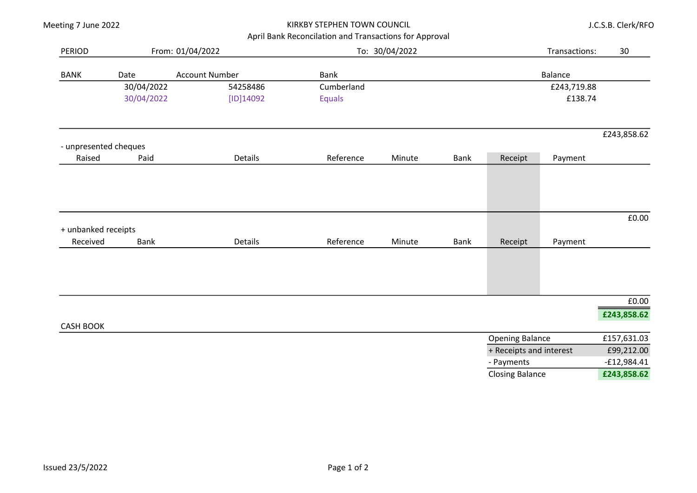|                                   |            |                       | April Bank Reconcilation and Transactions for Approval |        |             |                         |             |                      |
|-----------------------------------|------------|-----------------------|--------------------------------------------------------|--------|-------------|-------------------------|-------------|----------------------|
| From: 01/04/2022<br><b>PERIOD</b> |            |                       | To: 30/04/2022                                         |        |             | Transactions:           |             | 30                   |
| <b>BANK</b>                       | Date       | <b>Account Number</b> | Bank                                                   |        |             |                         | Balance     |                      |
|                                   | 30/04/2022 | 54258486              | Cumberland                                             |        |             |                         | £243,719.88 |                      |
|                                   | 30/04/2022 | [ID]14092             | <b>Equals</b>                                          |        |             |                         | £138.74     |                      |
|                                   |            |                       |                                                        |        |             |                         |             | £243,858.62          |
| - unpresented cheques             |            |                       |                                                        |        |             |                         |             |                      |
| Raised                            | Paid       | Details               | Reference                                              | Minute | <b>Bank</b> | Receipt                 | Payment     |                      |
| + unbanked receipts<br>Received   | Bank       | Details               | Reference                                              | Minute | <b>Bank</b> | Receipt                 | Payment     | £0.00                |
|                                   |            |                       |                                                        |        |             |                         |             | $\pmb{\text{f0.00}}$ |
| <b>CASH BOOK</b>                  |            |                       |                                                        |        |             |                         |             | £243,858.62          |
|                                   |            |                       |                                                        |        |             | <b>Opening Balance</b>  |             | £157,631.03          |
|                                   |            |                       |                                                        |        |             | + Receipts and interest | £99,212.00  |                      |
|                                   |            |                       |                                                        |        |             | - Payments              |             | $-£12,984.41$        |
|                                   |            |                       |                                                        |        |             | <b>Closing Balance</b>  |             | £243,858.62          |

J.C.S.B. Clerk/RFO